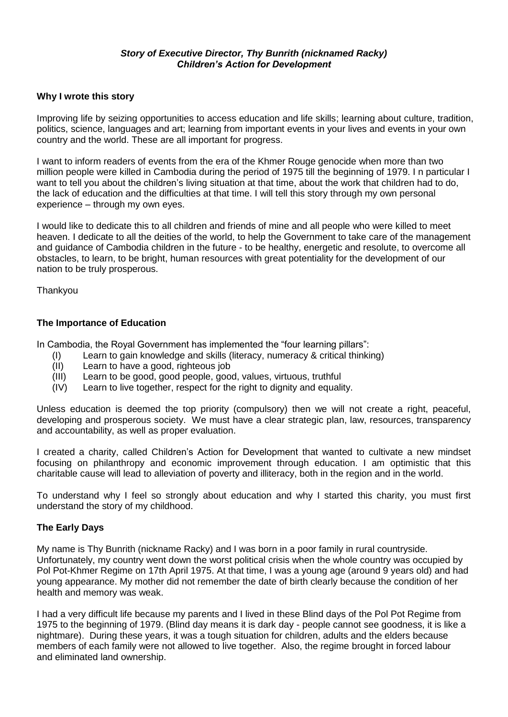#### *Story of Executive Director, Thy Bunrith (nicknamed Racky) Children's Action for Development*

#### **Why I wrote this story**

Improving life by seizing opportunities to access education and life skills; learning about culture, tradition, politics, science, languages and art; learning from important events in your lives and events in your own country and the world. These are all important for progress.

I want to inform readers of events from the era of the Khmer Rouge genocide when more than two million people were killed in Cambodia during the period of 1975 till the beginning of 1979. I n particular I want to tell you about the children's living situation at that time, about the work that children had to do, the lack of education and the difficulties at that time. I will tell this story through my own personal experience – through my own eyes.

I would like to dedicate this to all children and friends of mine and all people who were killed to meet heaven. I dedicate to all the deities of the world, to help the Government to take care of the management and guidance of Cambodia children in the future - to be healthy, energetic and resolute, to overcome all obstacles, to learn, to be bright, human resources with great potentiality for the development of our nation to be truly prosperous.

**Thankyou** 

#### **The Importance of Education**

In Cambodia, the Royal Government has implemented the "four learning pillars":

- (I) Learn to gain knowledge and skills (literacy, numeracy & critical thinking)
- (II) Learn to have a good, righteous job
- (III) Learn to be good, good people, good, values, virtuous, truthful
- (IV) Learn to live together, respect for the right to dignity and equality.

Unless education is deemed the top priority (compulsory) then we will not create a right, peaceful, developing and prosperous society. We must have a clear strategic plan, law, resources, transparency and accountability, as well as proper evaluation.

I created a charity, called Children's Action for Development that wanted to cultivate a new mindset focusing on philanthropy and economic improvement through education. I am optimistic that this charitable cause will lead to alleviation of poverty and illiteracy, both in the region and in the world.

To understand why I feel so strongly about education and why I started this charity, you must first understand the story of my childhood.

#### **The Early Days**

My name is Thy Bunrith (nickname Racky) and I was born in a poor family in rural countryside. Unfortunately, my country went down the worst political crisis when the whole country was occupied by Pol Pot-Khmer Regime on 17th April 1975. At that time, I was a young age (around 9 years old) and had young appearance. My mother did not remember the date of birth clearly because the condition of her health and memory was weak.

I had a very difficult life because my parents and I lived in these Blind days of the Pol Pot Regime from 1975 to the beginning of 1979. (Blind day means it is dark day - people cannot see goodness, it is like a nightmare). During these years, it was a tough situation for children, adults and the elders because members of each family were not allowed to live together. Also, the regime brought in forced labour and eliminated land ownership.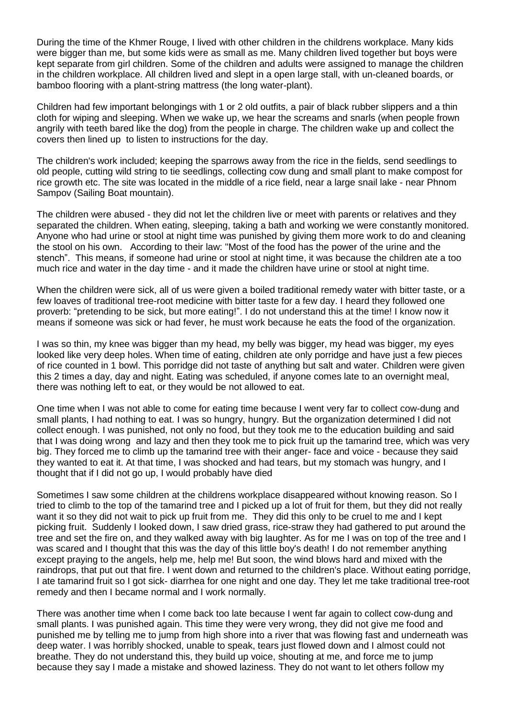During the time of the Khmer Rouge, I lived with other children in the childrens workplace. Many kids were bigger than me, but some kids were as small as me. Many children lived together but boys were kept separate from girl children. Some of the children and adults were assigned to manage the children in the children workplace. All children lived and slept in a open large stall, with un-cleaned boards, or bamboo flooring with a plant-string mattress (the long water-plant).

Children had few important belongings with 1 or 2 old outfits, a pair of black rubber slippers and a thin cloth for wiping and sleeping. When we wake up, we hear the screams and snarls (when people frown angrily with teeth bared like the dog) from the people in charge. The children wake up and collect the covers then lined up to listen to instructions for the day.

The children's work included; keeping the sparrows away from the rice in the fields, send seedlings to old people, cutting wild string to tie seedlings, collecting cow dung and small plant to make compost for rice growth etc. The site was located in the middle of a rice field, near a large snail lake - near Phnom Sampov (Sailing Boat mountain).

The children were abused - they did not let the children live or meet with parents or relatives and they separated the children. When eating, sleeping, taking a bath and working we were constantly monitored. Anyone who had urine or stool at night time was punished by giving them more work to do and cleaning the stool on his own. According to their law: "Most of the food has the power of the urine and the stench". This means, if someone had urine or stool at night time, it was because the children ate a too much rice and water in the day time - and it made the children have urine or stool at night time.

When the children were sick, all of us were given a boiled traditional remedy water with bitter taste, or a few loaves of traditional tree-root medicine with bitter taste for a few day. I heard they followed one proverb: "pretending to be sick, but more eating!". I do not understand this at the time! I know now it means if someone was sick or had fever, he must work because he eats the food of the organization.

I was so thin, my knee was bigger than my head, my belly was bigger, my head was bigger, my eyes looked like very deep holes. When time of eating, children ate only porridge and have just a few pieces of rice counted in 1 bowl. This porridge did not taste of anything but salt and water. Children were given this 2 times a day, day and night. Eating was scheduled, if anyone comes late to an overnight meal, there was nothing left to eat, or they would be not allowed to eat.

One time when I was not able to come for eating time because I went very far to collect cow-dung and small plants, I had nothing to eat. I was so hungry, hungry. But the organization determined I did not collect enough. I was punished, not only no food, but they took me to the education building and said that I was doing wrong and lazy and then they took me to pick fruit up the tamarind tree, which was very big. They forced me to climb up the tamarind tree with their anger- face and voice - because they said they wanted to eat it. At that time, I was shocked and had tears, but my stomach was hungry, and I thought that if I did not go up, I would probably have died

Sometimes I saw some children at the childrens workplace disappeared without knowing reason. So I tried to climb to the top of the tamarind tree and I picked up a lot of fruit for them, but they did not really want it so they did not wait to pick up fruit from me. They did this only to be cruel to me and I kept picking fruit. Suddenly I looked down, I saw dried grass, rice-straw they had gathered to put around the tree and set the fire on, and they walked away with big laughter. As for me I was on top of the tree and I was scared and I thought that this was the day of this little boy's death! I do not remember anything except praying to the angels, help me, help me! But soon, the wind blows hard and mixed with the raindrops, that put out that fire. I went down and returned to the children's place. Without eating porridge, I ate tamarind fruit so I got sick- diarrhea for one night and one day. They let me take traditional tree-root remedy and then I became normal and I work normally.

There was another time when I come back too late because I went far again to collect cow-dung and small plants. I was punished again. This time they were very wrong, they did not give me food and punished me by telling me to jump from high shore into a river that was flowing fast and underneath was deep water. I was horribly shocked, unable to speak, tears just flowed down and I almost could not breathe. They do not understand this, they build up voice, shouting at me, and force me to jump because they say I made a mistake and showed laziness. They do not want to let others follow my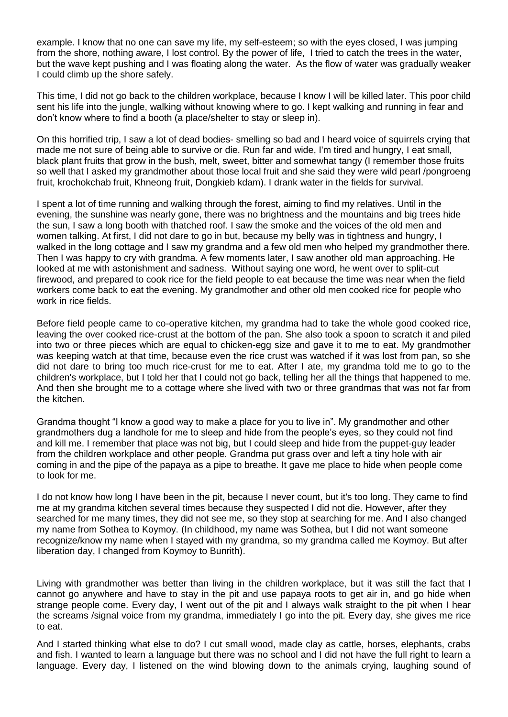example. I know that no one can save my life, my self-esteem; so with the eyes closed, I was jumping from the shore, nothing aware, I lost control. By the power of life, I tried to catch the trees in the water, but the wave kept pushing and I was floating along the water. As the flow of water was gradually weaker I could climb up the shore safely.

This time, I did not go back to the children workplace, because I know I will be killed later. This poor child sent his life into the jungle, walking without knowing where to go. I kept walking and running in fear and don't know where to find a booth (a place/shelter to stay or sleep in).

On this horrified trip, I saw a lot of dead bodies- smelling so bad and I heard voice of squirrels crying that made me not sure of being able to survive or die. Run far and wide, I'm tired and hungry, I eat small, black plant fruits that grow in the bush, melt, sweet, bitter and somewhat tangy (I remember those fruits so well that I asked my grandmother about those local fruit and she said they were wild pearl /pongroeng fruit, krochokchab fruit, Khneong fruit, Dongkieb kdam). I drank water in the fields for survival.

I spent a lot of time running and walking through the forest, aiming to find my relatives. Until in the evening, the sunshine was nearly gone, there was no brightness and the mountains and big trees hide the sun, I saw a long booth with thatched roof. I saw the smoke and the voices of the old men and women talking. At first, I did not dare to go in but, because my belly was in tightness and hungry, I walked in the long cottage and I saw my grandma and a few old men who helped my grandmother there. Then I was happy to cry with grandma. A few moments later, I saw another old man approaching. He looked at me with astonishment and sadness. Without saying one word, he went over to split-cut firewood, and prepared to cook rice for the field people to eat because the time was near when the field workers come back to eat the evening. My grandmother and other old men cooked rice for people who work in rice fields.

Before field people came to co-operative kitchen, my grandma had to take the whole good cooked rice, leaving the over cooked rice-crust at the bottom of the pan. She also took a spoon to scratch it and piled into two or three pieces which are equal to chicken-egg size and gave it to me to eat. My grandmother was keeping watch at that time, because even the rice crust was watched if it was lost from pan, so she did not dare to bring too much rice-crust for me to eat. After I ate, my grandma told me to go to the children's workplace, but I told her that I could not go back, telling her all the things that happened to me. And then she brought me to a cottage where she lived with two or three grandmas that was not far from the kitchen.

Grandma thought "I know a good way to make a place for you to live in". My grandmother and other grandmothers dug a landhole for me to sleep and hide from the people's eyes, so they could not find and kill me. I remember that place was not big, but I could sleep and hide from the puppet-guy leader from the children workplace and other people. Grandma put grass over and left a tiny hole with air coming in and the pipe of the papaya as a pipe to breathe. It gave me place to hide when people come to look for me.

I do not know how long I have been in the pit, because I never count, but it's too long. They came to find me at my grandma kitchen several times because they suspected I did not die. However, after they searched for me many times, they did not see me, so they stop at searching for me. And I also changed my name from Sothea to Koymoy. (In childhood, my name was Sothea, but I did not want someone recognize/know my name when I stayed with my grandma, so my grandma called me Koymoy. But after liberation day, I changed from Koymoy to Bunrith).

Living with grandmother was better than living in the children workplace, but it was still the fact that I cannot go anywhere and have to stay in the pit and use papaya roots to get air in, and go hide when strange people come. Every day, I went out of the pit and I always walk straight to the pit when I hear the screams /signal voice from my grandma, immediately I go into the pit. Every day, she gives me rice to eat.

And I started thinking what else to do? I cut small wood, made clay as cattle, horses, elephants, crabs and fish. I wanted to learn a language but there was no school and I did not have the full right to learn a language. Every day, I listened on the wind blowing down to the animals crying, laughing sound of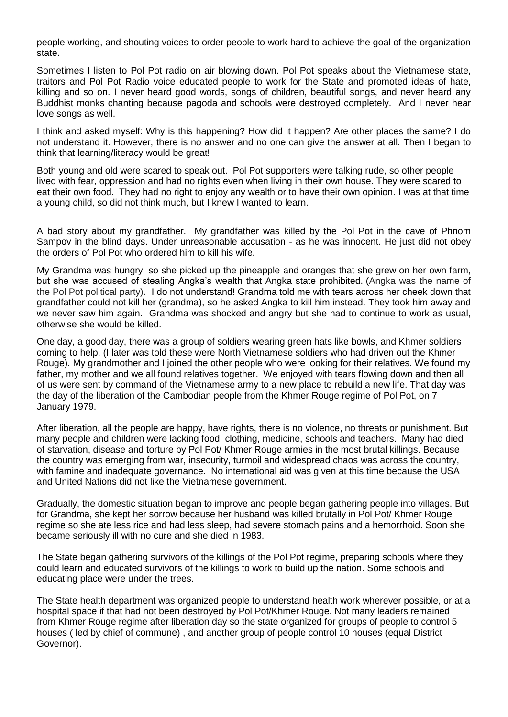people working, and shouting voices to order people to work hard to achieve the goal of the organization state.

Sometimes I listen to Pol Pot radio on air blowing down. Pol Pot speaks about the Vietnamese state, traitors and Pol Pot Radio voice educated people to work for the State and promoted ideas of hate, killing and so on. I never heard good words, songs of children, beautiful songs, and never heard any Buddhist monks chanting because pagoda and schools were destroyed completely. And I never hear love songs as well.

I think and asked myself: Why is this happening? How did it happen? Are other places the same? I do not understand it. However, there is no answer and no one can give the answer at all. Then I began to think that learning/literacy would be great!

Both young and old were scared to speak out. Pol Pot supporters were talking rude, so other people lived with fear, oppression and had no rights even when living in their own house. They were scared to eat their own food. They had no right to enjoy any wealth or to have their own opinion. I was at that time a young child, so did not think much, but I knew I wanted to learn.

A bad story about my grandfather. My grandfather was killed by the Pol Pot in the cave of Phnom Sampov in the blind days. Under unreasonable accusation - as he was innocent. He just did not obey the orders of Pol Pot who ordered him to kill his wife.

My Grandma was hungry, so she picked up the pineapple and oranges that she grew on her own farm, but she was accused of stealing Angka's wealth that Angka state prohibited. (Angka was the name of the Pol Pot political party). I do not understand! Grandma told me with tears across her cheek down that grandfather could not kill her (grandma), so he asked Angka to kill him instead. They took him away and we never saw him again. Grandma was shocked and angry but she had to continue to work as usual, otherwise she would be killed.

One day, a good day, there was a group of soldiers wearing green hats like bowls, and Khmer soldiers coming to help. (I later was told these were North Vietnamese soldiers who had driven out the Khmer Rouge). My grandmother and I joined the other people who were looking for their relatives. We found my father, my mother and we all found relatives together. We enjoyed with tears flowing down and then all of us were sent by command of the Vietnamese army to a new place to rebuild a new life. That day was the day of the liberation of the Cambodian people from the Khmer Rouge regime of Pol Pot, on 7 January 1979.

After liberation, all the people are happy, have rights, there is no violence, no threats or punishment. But many people and children were lacking food, clothing, medicine, schools and teachers. Many had died of starvation, disease and torture by Pol Pot/ Khmer Rouge armies in the most brutal killings. Because the country was emerging from war, insecurity, turmoil and widespread chaos was across the country, with famine and inadequate governance. No international aid was given at this time because the USA and United Nations did not like the Vietnamese government.

Gradually, the domestic situation began to improve and people began gathering people into villages. But for Grandma, she kept her sorrow because her husband was killed brutally in Pol Pot/ Khmer Rouge regime so she ate less rice and had less sleep, had severe stomach pains and a hemorrhoid. Soon she became seriously ill with no cure and she died in 1983.

The State began gathering survivors of the killings of the Pol Pot regime, preparing schools where they could learn and educated survivors of the killings to work to build up the nation. Some schools and educating place were under the trees.

The State health department was organized people to understand health work wherever possible, or at a hospital space if that had not been destroyed by Pol Pot/Khmer Rouge. Not many leaders remained from Khmer Rouge regime after liberation day so the state organized for groups of people to control 5 houses ( led by chief of commune) , and another group of people control 10 houses (equal District Governor).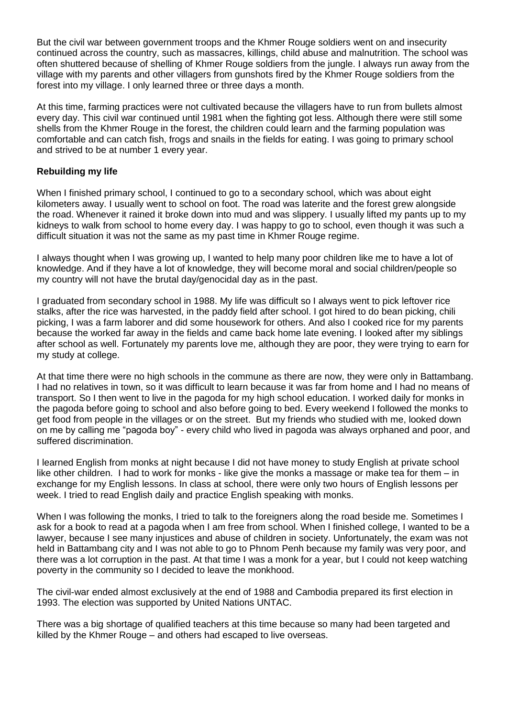But the civil war between government troops and the Khmer Rouge soldiers went on and insecurity continued across the country, such as massacres, killings, child abuse and malnutrition. The school was often shuttered because of shelling of Khmer Rouge soldiers from the jungle. I always run away from the village with my parents and other villagers from gunshots fired by the Khmer Rouge soldiers from the forest into my village. I only learned three or three days a month.

At this time, farming practices were not cultivated because the villagers have to run from bullets almost every day. This civil war continued until 1981 when the fighting got less. Although there were still some shells from the Khmer Rouge in the forest, the children could learn and the farming population was comfortable and can catch fish, frogs and snails in the fields for eating. I was going to primary school and strived to be at number 1 every year.

## **Rebuilding my life**

When I finished primary school, I continued to go to a secondary school, which was about eight kilometers away. I usually went to school on foot. The road was laterite and the forest grew alongside the road. Whenever it rained it broke down into mud and was slippery. I usually lifted my pants up to my kidneys to walk from school to home every day. I was happy to go to school, even though it was such a difficult situation it was not the same as my past time in Khmer Rouge regime.

I always thought when I was growing up, I wanted to help many poor children like me to have a lot of knowledge. And if they have a lot of knowledge, they will become moral and social children/people so my country will not have the brutal day/genocidal day as in the past.

I graduated from secondary school in 1988. My life was difficult so I always went to pick leftover rice stalks, after the rice was harvested, in the paddy field after school. I got hired to do bean picking, chili picking, I was a farm laborer and did some housework for others. And also I cooked rice for my parents because the worked far away in the fields and came back home late evening. I looked after my siblings after school as well. Fortunately my parents love me, although they are poor, they were trying to earn for my study at college.

At that time there were no high schools in the commune as there are now, they were only in Battambang. I had no relatives in town, so it was difficult to learn because it was far from home and I had no means of transport. So I then went to live in the pagoda for my high school education. I worked daily for monks in the pagoda before going to school and also before going to bed. Every weekend I followed the monks to get food from people in the villages or on the street. But my friends who studied with me, looked down on me by calling me "pagoda boy" - every child who lived in pagoda was always orphaned and poor, and suffered discrimination.

I learned English from monks at night because I did not have money to study English at private school like other children. I had to work for monks - like give the monks a massage or make tea for them – in exchange for my English lessons. In class at school, there were only two hours of English lessons per week. I tried to read English daily and practice English speaking with monks.

When I was following the monks, I tried to talk to the foreigners along the road beside me. Sometimes I ask for a book to read at a pagoda when I am free from school. When I finished college, I wanted to be a lawyer, because I see many injustices and abuse of children in society. Unfortunately, the exam was not held in Battambang city and I was not able to go to Phnom Penh because my family was very poor, and there was a lot corruption in the past. At that time I was a monk for a year, but I could not keep watching poverty in the community so I decided to leave the monkhood.

The civil-war ended almost exclusively at the end of 1988 and Cambodia prepared its first election in 1993. The election was supported by United Nations UNTAC.

There was a big shortage of qualified teachers at this time because so many had been targeted and killed by the Khmer Rouge – and others had escaped to live overseas.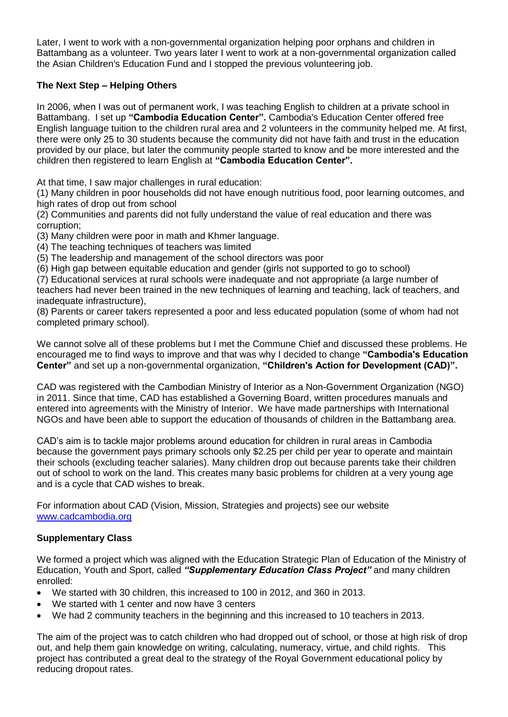Later, I went to work with a non-governmental organization helping poor orphans and children in Battambang as a volunteer. Two years later I went to work at a non-governmental organization called the Asian Children's Education Fund and I stopped the previous volunteering job.

# **The Next Step – Helping Others**

In 2006, when I was out of permanent work, I was teaching English to children at a private school in Battambang. I set up **"Cambodia Education Center".** Cambodia's Education Center offered free English language tuition to the children rural area and 2 volunteers in the community helped me. At first, there were only 25 to 30 students because the community did not have faith and trust in the education provided by our place, but later the community people started to know and be more interested and the children then registered to learn English at **"Cambodia Education Center".**

At that time, I saw major challenges in rural education:

(1) Many children in poor households did not have enough nutritious food, poor learning outcomes, and high rates of drop out from school

(2) Communities and parents did not fully understand the value of real education and there was corruption;

(3) Many children were poor in math and Khmer language.

(4) The teaching techniques of teachers was limited

(5) The leadership and management of the school directors was poor

(6) High gap between equitable education and gender (girls not supported to go to school)

(7) Educational services at rural schools were inadequate and not appropriate (a large number of teachers had never been trained in the new techniques of learning and teaching, lack of teachers, and inadequate infrastructure),

(8) Parents or career takers represented a poor and less educated population (some of whom had not completed primary school).

We cannot solve all of these problems but I met the Commune Chief and discussed these problems. He encouraged me to find ways to improve and that was why I decided to change **"Cambodia's Education Center"** and set up a non-governmental organization, **"Children's Action for Development (CAD)".**

CAD was registered with the Cambodian Ministry of Interior as a Non-Government Organization (NGO) in 2011. Since that time, CAD has established a Governing Board, written procedures manuals and entered into agreements with the Ministry of Interior. We have made partnerships with International NGOs and have been able to support the education of thousands of children in the Battambang area.

CAD's aim is to tackle major problems around education for children in rural areas in Cambodia because the government pays primary schools only \$2.25 per child per year to operate and maintain their schools (excluding teacher salaries). Many children drop out because parents take their children out of school to work on the land. This creates many basic problems for children at a very young age and is a cycle that CAD wishes to break.

For information about CAD (Vision, Mission, Strategies and projects) see our website [www.cadcambodia.org](http://www.cadcambodia.org/)

# **Supplementary Class**

We formed a project which was aligned with the Education Strategic Plan of Education of the Ministry of Education, Youth and Sport, called *"Supplementary Education Class Project"* and many children enrolled:

- We started with 30 children, this increased to 100 in 2012, and 360 in 2013.
- We started with 1 center and now have 3 centers
- We had 2 community teachers in the beginning and this increased to 10 teachers in 2013.

The aim of the project was to catch children who had dropped out of school, or those at high risk of drop out, and help them gain knowledge on writing, calculating, numeracy, virtue, and child rights. This project has contributed a great deal to the strategy of the Royal Government educational policy by reducing dropout rates.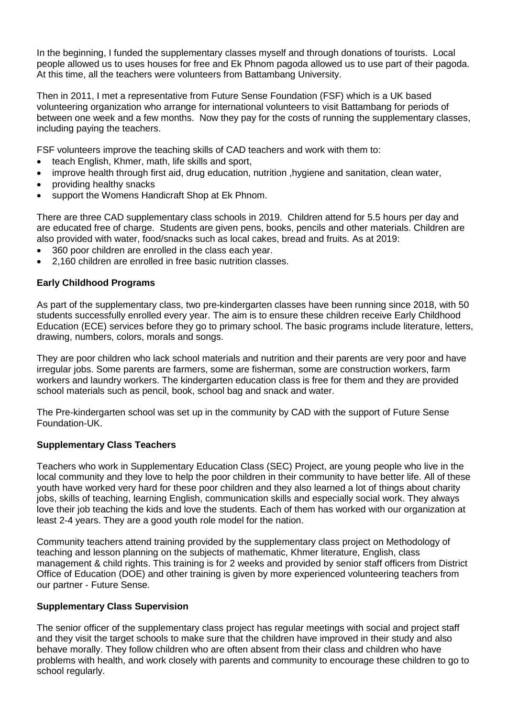In the beginning, I funded the supplementary classes myself and through donations of tourists. Local people allowed us to uses houses for free and Ek Phnom pagoda allowed us to use part of their pagoda. At this time, all the teachers were volunteers from Battambang University.

Then in 2011, I met a representative from Future Sense Foundation (FSF) which is a UK based volunteering organization who arrange for international volunteers to visit Battambang for periods of between one week and a few months. Now they pay for the costs of running the supplementary classes, including paying the teachers.

FSF volunteers improve the teaching skills of CAD teachers and work with them to:

- teach English, Khmer, math, life skills and sport,
- improve health through first aid, drug education, nutrition, hygiene and sanitation, clean water,
- providing healthy snacks
- support the Womens Handicraft Shop at Ek Phnom.

There are three CAD supplementary class schools in 2019. Children attend for 5.5 hours per day and are educated free of charge. Students are given pens, books, pencils and other materials. Children are also provided with water, food/snacks such as local cakes, bread and fruits. As at 2019:

- 360 poor children are enrolled in the class each year.
- 2,160 children are enrolled in free basic nutrition classes.

# **Early Childhood Programs**

As part of the supplementary class, two pre-kindergarten classes have been running since 2018, with 50 students successfully enrolled every year. The aim is to ensure these children receive Early Childhood Education (ECE) services before they go to primary school. The basic programs include literature, letters, drawing, numbers, colors, morals and songs.

They are poor children who lack school materials and nutrition and their parents are very poor and have irregular jobs. Some parents are farmers, some are fisherman, some are construction workers, farm workers and laundry workers. The kindergarten education class is free for them and they are provided school materials such as pencil, book, school bag and snack and water.

The Pre-kindergarten school was set up in the community by CAD with the support of Future Sense Foundation-UK.

#### **Supplementary Class Teachers**

Teachers who work in Supplementary Education Class (SEC) Project, are young people who live in the local community and they love to help the poor children in their community to have better life. All of these youth have worked very hard for these poor children and they also learned a lot of things about charity jobs, skills of teaching, learning English, communication skills and especially social work. They always love their job teaching the kids and love the students. Each of them has worked with our organization at least 2-4 years. They are a good youth role model for the nation.

Community teachers attend training provided by the supplementary class project on Methodology of teaching and lesson planning on the subjects of mathematic, Khmer literature, English, class management & child rights. This training is for 2 weeks and provided by senior staff officers from District Office of Education (DOE) and other training is given by more experienced volunteering teachers from our partner - Future Sense.

#### **Supplementary Class Supervision**

The senior officer of the supplementary class project has regular meetings with social and project staff and they visit the target schools to make sure that the children have improved in their study and also behave morally. They follow children who are often absent from their class and children who have problems with health, and work closely with parents and community to encourage these children to go to school regularly.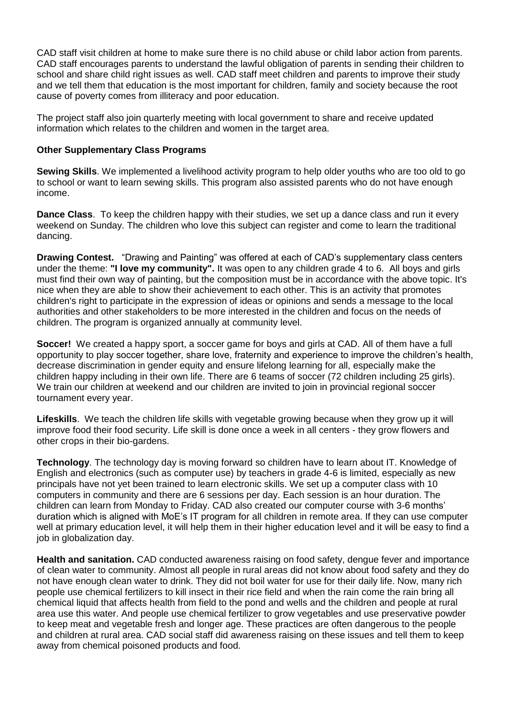CAD staff visit children at home to make sure there is no child abuse or child labor action from parents. CAD staff encourages parents to understand the lawful obligation of parents in sending their children to school and share child right issues as well. CAD staff meet children and parents to improve their study and we tell them that education is the most important for children, family and society because the root cause of poverty comes from illiteracy and poor education.

The project staff also join quarterly meeting with local government to share and receive updated information which relates to the children and women in the target area.

## **Other Supplementary Class Programs**

**Sewing Skills**. We implemented a livelihood activity program to help older youths who are too old to go to school or want to learn sewing skills. This program also assisted parents who do not have enough income.

**Dance Class**. To keep the children happy with their studies, we set up a dance class and run it every weekend on Sunday. The children who love this subject can register and come to learn the traditional dancing.

**Drawing Contest.** "Drawing and Painting" was offered at each of CAD's supplementary class centers under the theme: **"I love my community".** It was open to any children grade 4 to 6. All boys and girls must find their own way of painting, but the composition must be in accordance with the above topic. It's nice when they are able to show their achievement to each other. This is an activity that promotes children's right to participate in the expression of ideas or opinions and sends a message to the local authorities and other stakeholders to be more interested in the children and focus on the needs of children. The program is organized annually at community level.

**Soccer!** We created a happy sport, a soccer game for boys and girls at CAD. All of them have a full opportunity to play soccer together, share love, fraternity and experience to improve the children's health, decrease discrimination in gender equity and ensure lifelong learning for all, especially make the children happy including in their own life. There are 6 teams of soccer (72 children including 25 girls). We train our children at weekend and our children are invited to join in provincial regional soccer tournament every year.

**Lifeskills**. We teach the children life skills with vegetable growing because when they grow up it will improve food their food security. Life skill is done once a week in all centers - they grow flowers and other crops in their bio-gardens.

**Technology**. The technology day is moving forward so children have to learn about IT. Knowledge of English and electronics (such as computer use) by teachers in grade 4-6 is limited, especially as new principals have not yet been trained to learn electronic skills. We set up a computer class with 10 computers in community and there are 6 sessions per day. Each session is an hour duration. The children can learn from Monday to Friday. CAD also created our computer course with 3-6 months' duration which is aligned with MoE's IT program for all children in remote area. If they can use computer well at primary education level, it will help them in their higher education level and it will be easy to find a job in globalization day.

**Health and sanitation.** CAD conducted awareness raising on food safety, dengue fever and importance of clean water to community. Almost all people in rural areas did not know about food safety and they do not have enough clean water to drink. They did not boil water for use for their daily life. Now, many rich people use chemical fertilizers to kill insect in their rice field and when the rain come the rain bring all chemical liquid that affects health from field to the pond and wells and the children and people at rural area use this water. And people use chemical fertilizer to grow vegetables and use preservative powder to keep meat and vegetable fresh and longer age. These practices are often dangerous to the people and children at rural area. CAD social staff did awareness raising on these issues and tell them to keep away from chemical poisoned products and food.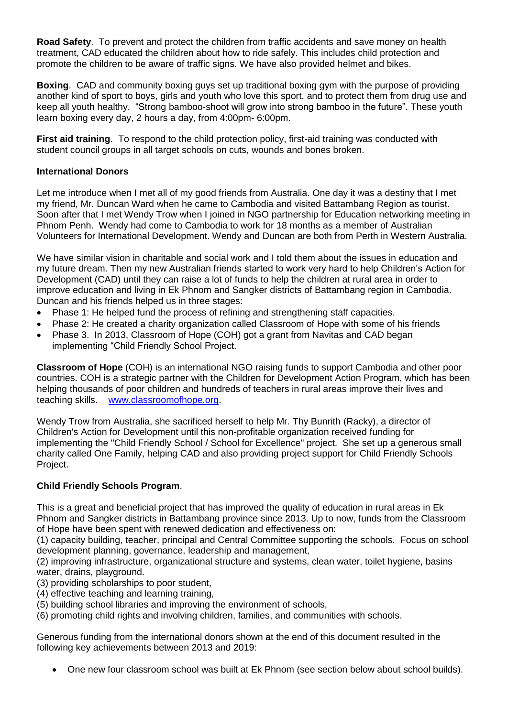**Road Safety**. To prevent and protect the children from traffic accidents and save money on health treatment, CAD educated the children about how to ride safely. This includes child protection and promote the children to be aware of traffic signs. We have also provided helmet and bikes.

**Boxing**. CAD and community boxing guys set up traditional boxing gym with the purpose of providing another kind of sport to boys, girls and youth who love this sport, and to protect them from drug use and keep all youth healthy. "Strong bamboo-shoot will grow into strong bamboo in the future". These youth learn boxing every day, 2 hours a day, from 4:00pm- 6:00pm.

**First aid training**. To respond to the child protection policy, first-aid training was conducted with student council groups in all target schools on cuts, wounds and bones broken.

#### **International Donors**

Let me introduce when I met all of my good friends from Australia. One day it was a destiny that I met my friend, Mr. Duncan Ward when he came to Cambodia and visited Battambang Region as tourist. Soon after that I met Wendy Trow when I joined in NGO partnership for Education networking meeting in Phnom Penh. Wendy had come to Cambodia to work for 18 months as a member of Australian Volunteers for International Development. Wendy and Duncan are both from Perth in Western Australia.

We have similar vision in charitable and social work and I told them about the issues in education and my future dream. Then my new Australian friends started to work very hard to help Children's Action for Development (CAD) until they can raise a lot of funds to help the children at rural area in order to improve education and living in Ek Phnom and Sangker districts of Battambang region in Cambodia. Duncan and his friends helped us in three stages:

- Phase 1: He helped fund the process of refining and strengthening staff capacities.
- Phase 2: He created a charity organization called Classroom of Hope with some of his friends
- Phase 3. In 2013, Classroom of Hope (COH) got a grant from Navitas and CAD began implementing "Child Friendly School Project.

**Classroom of Hope** (COH) is an international NGO raising funds to support Cambodia and other poor countries. COH is a strategic partner with the Children for Development Action Program, which has been helping thousands of poor children and hundreds of teachers in rural areas improve their lives and teaching skills. [www.classroomofhope.org.](http://www.classroomofhope.org/)

Wendy Trow from Australia, she sacrificed herself to help Mr. Thy Bunrith (Racky), a director of Children's Action for Development until this non-profitable organization received funding for implementing the "Child Friendly School / School for Excellence" project. She set up a generous small charity called One Family, helping CAD and also providing project support for Child Friendly Schools Project.

# **Child Friendly Schools Program**.

This is a great and beneficial project that has improved the quality of education in rural areas in Ek Phnom and Sangker districts in Battambang province since 2013. Up to now, funds from the Classroom of Hope have been spent with renewed dedication and effectiveness on:

(1) capacity building, teacher, principal and Central Committee supporting the schools. Focus on school development planning, governance, leadership and management,

(2) improving infrastructure, organizational structure and systems, clean water, toilet hygiene, basins water, drains, playground.

(3) providing scholarships to poor student,

- (4) effective teaching and learning training,
- (5) building school libraries and improving the environment of schools,
- (6) promoting child rights and involving children, families, and communities with schools.

Generous funding from the international donors shown at the end of this document resulted in the following key achievements between 2013 and 2019:

One new four classroom school was built at Ek Phnom (see section below about school builds).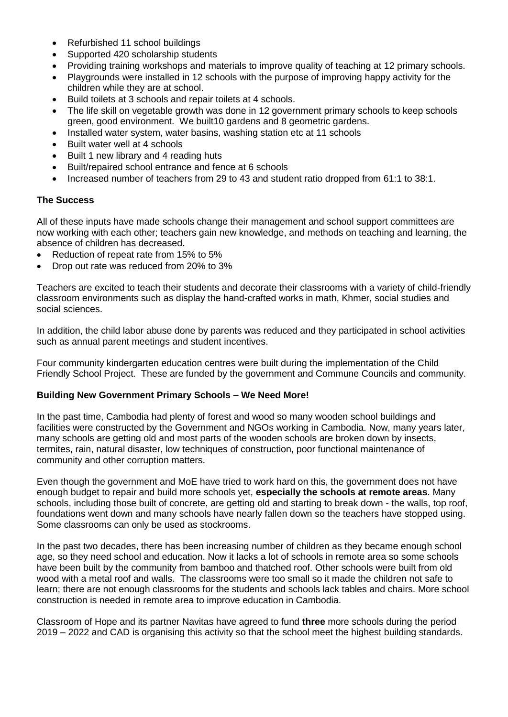- Refurbished 11 school buildings
- Supported 420 scholarship students
- Providing training workshops and materials to improve quality of teaching at 12 primary schools.
- Playgrounds were installed in 12 schools with the purpose of improving happy activity for the children while they are at school.
- Build toilets at 3 schools and repair toilets at 4 schools.
- The life skill on vegetable growth was done in 12 government primary schools to keep schools green, good environment. We built10 gardens and 8 geometric gardens.
- Installed water system, water basins, washing station etc at 11 schools
- Built water well at 4 schools
- Built 1 new library and 4 reading huts
- Built/repaired school entrance and fence at 6 schools
- Increased number of teachers from 29 to 43 and student ratio dropped from 61:1 to 38:1.

#### **The Success**

All of these inputs have made schools change their management and school support committees are now working with each other; teachers gain new knowledge, and methods on teaching and learning, the absence of children has decreased.

- Reduction of repeat rate from 15% to 5%
- Drop out rate was reduced from 20% to 3%

Teachers are excited to teach their students and decorate their classrooms with a variety of child-friendly classroom environments such as display the hand-crafted works in math, Khmer, social studies and social sciences.

In addition, the child labor abuse done by parents was reduced and they participated in school activities such as annual parent meetings and student incentives.

Four community kindergarten education centres were built during the implementation of the Child Friendly School Project. These are funded by the government and Commune Councils and community.

#### **Building New Government Primary Schools – We Need More!**

In the past time, Cambodia had plenty of forest and wood so many wooden school buildings and facilities were constructed by the Government and NGOs working in Cambodia. Now, many years later, many schools are getting old and most parts of the wooden schools are broken down by insects, termites, rain, natural disaster, low techniques of construction, poor functional maintenance of community and other corruption matters.

Even though the government and MoE have tried to work hard on this, the government does not have enough budget to repair and build more schools yet, **especially the schools at remote areas**. Many schools, including those built of concrete, are getting old and starting to break down - the walls, top roof, foundations went down and many schools have nearly fallen down so the teachers have stopped using. Some classrooms can only be used as stockrooms.

In the past two decades, there has been increasing number of children as they became enough school age, so they need school and education. Now it lacks a lot of schools in remote area so some schools have been built by the community from bamboo and thatched roof. Other schools were built from old wood with a metal roof and walls. The classrooms were too small so it made the children not safe to learn; there are not enough classrooms for the students and schools lack tables and chairs. More school construction is needed in remote area to improve education in Cambodia.

Classroom of Hope and its partner Navitas have agreed to fund **three** more schools during the period 2019 – 2022 and CAD is organising this activity so that the school meet the highest building standards.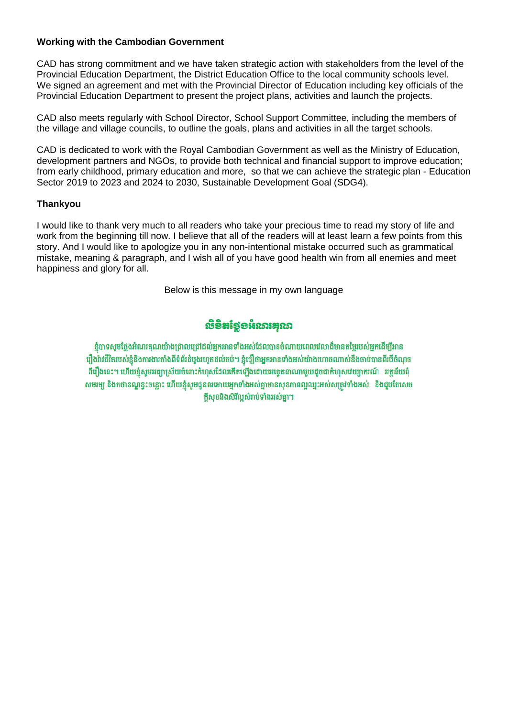## **Working with the Cambodian Government**

CAD has strong commitment and we have taken strategic action with stakeholders from the level of the Provincial Education Department, the District Education Office to the local community schools level. We signed an agreement and met with the Provincial Director of Education including key officials of the Provincial Education Department to present the project plans, activities and launch the projects.

CAD also meets regularly with School Director, School Support Committee, including the members of the village and village councils, to outline the goals, plans and activities in all the target schools.

CAD is dedicated to work with the Royal Cambodian Government as well as the Ministry of Education, development partners and NGOs, to provide both technical and financial support to improve education; from early childhood, primary education and more, so that we can achieve the strategic plan - Education Sector 2019 to 2023 and 2024 to 2030, Sustainable Development Goal (SDG4).

# **Thankyou**

I would like to thank very much to all readers who take your precious time to read my story of life and work from the beginning till now. I believe that all of the readers will at least learn a few points from this story. And I would like to apologize you in any non-intentional mistake occurred such as grammatical mistake, meaning & paragraph, and I wish all of you have good health win from all enemies and meet happiness and glory for all.

Below is this message in my own language

# **ເບື້ອສ**ໍາຮູ້ອ\$ເວນສຸວນ

ខ្ញុំបាទសូមថ្លែងអំណរគុណយ៉ាងជ្រាលជ្រៅដល់អ្នកអានទាំងអស់ដែលបានចំណាយពេលវេលាដ៏មានតម្លៃរបស់អ្នកដើម្បីអាន រឿងរ៉ាវជីវិតរបស់ខ្ញុំនិងការងារតាំងពីទំព័រជំបូងរហូតដល់ចប់។ ខ្ញុំជឿថាអ្នកអានទាំងអស់យ៉ាងហោចណាស់នឹងចាប់បានពីរបីចំណុច ពីរឿងនេះ។ ហើយខ្ញុំសូមអធ្យាស្រ័យចំពោះកំហុសដែលកើតឡើងដោយអច្ចេតនាណាមួយដូចជាកំហុសវេយ្យាករណ៍ អត្ថន័យពុំ សមរម្យ និងកថាខណ្ឌខ្វះចន្លោះ ហើយខ្ញុំសូមជូនពរអោយអ្នកទាំងអស់គ្នាមានសុខភាពល្អឈ្នះអស់សត្រូវទាំងអស់ និងជួបតែសេច ក្តីសុខនិងសិរីល្អសំរាប់ទាំងអស់គ្នា។